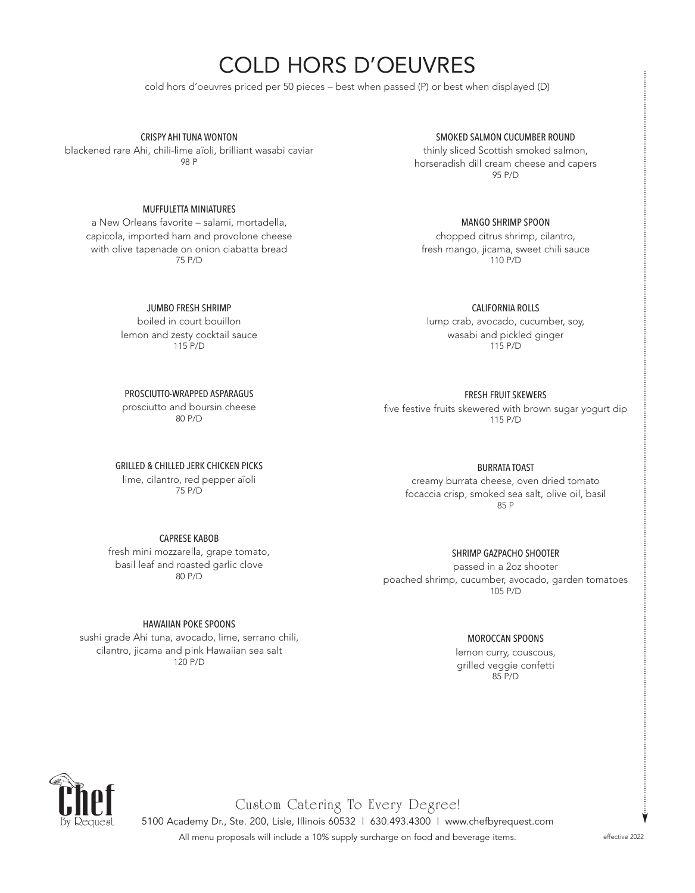# COLD HORS D'OEUVRES

cold hors d'oeuvres priced per 50 pieces – best when passed (P) or best when displayed (D)

CRISPY AHI TUNA WONTON

blackened rare Ahi, chili-lime aïoli, brilliant wasabi caviar 98 P

### MUFFULETTA MINIATURES

a New Orleans favorite – salami, mortadella, capicola, imported ham and provolone cheese with olive tapenade on onion ciabatta bread 75 P/D

JUMBO FRESH SHRIMP

boiled in court bouillon lemon and zesty cocktail sauce 115 P/D

PROSCIUTTO-WRAPPED ASPARAGUS prosciutto and boursin cheese 80 P/D

GRILLED & CHILLED JERK CHICKEN PICKS

lime, cilantro, red pepper aïoli 75 P/D

## CAPRESE KABOB

fresh mini mozzarella, grape tomato, basil leaf and roasted garlic clove 80 P/D

#### HAWAIIAN POKE SPOONS

sushi grade Ahi tuna, avocado, lime, serrano chili, cilantro, jicama and pink Hawaiian sea salt 120 P/D

#### SMOKED SALMON CUCUMBER ROUND

thinly sliced Scottish smoked salmon, horseradish dill cream cheese and capers 95 P/D

MANGO SHRIMP SPOON

chopped citrus shrimp, cilantro, fresh mango, jicama, sweet chili sauce 110 P/D

CALIFORNIA ROLLS

lump crab, avocado, cucumber, soy, wasabi and pickled ginger 115 P/D

FRESH FRUIT SKEWERS

five festive fruits skewered with brown sugar yogurt dip 115 P/D

BURRATA TOAST

creamy burrata cheese, oven dried tomato focaccia crisp, smoked sea salt, olive oil, basil 85 P

SHRIMP GAZPACHO SHOOTER

passed in a 2oz shooter poached shrimp, cucumber, avocado, garden tomatoes 105 P/D

#### MOROCCAN SPOONS

lemon curry, couscous, grilled veggie confetti 85 P/D



Custom Catering To Every Degree!

5100 Academy Dr., Ste. 200, Lisle, Illinois 60532 | 630.493.4300 | www.chefbyrequest.com All menu proposals will include a 10% supply surcharge on food and beverage items. effective 2022

Ý